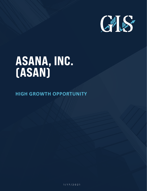

# ASANA, INC. (ASAN)

**HIGH GROWTH OPPORTUNITY**

 $\frac{1}{17}$  / 2 0 2 1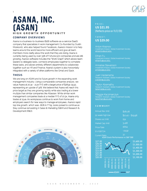

# ASANA, INC. (ASAN) **H I G H G R O W T H O P P O R T U N I T Y**

#### **COMPANY OVERVIEW5**

Asana is a business-to-business (B2B) software-as-a-service (SaaS) company that specializes in work management. Co-founded by Dustin Moskovitz, who also helped found Facebook, Asana's mission is to help teams around the world become more efficient and give all team members more clarity about the work that they are doing. Asana is currently being used by over 33% of Fortune 500 companies and are still growing. Asana's software includes the "Work Graph" which allows team leaders to delegate tasks, connects employees together to complete these tasks, and allows entirely different departments to collaborate together such as HR and Finance. Asana's system is also horizontally integrated with a variety of other platforms like Gmail and Slack.

#### **THESIS**

1

We are long on ASAN and its future growth in the expanding work management industry. Using a comparable companies analysis, we value Asana at 20.3x - 21.2x P/S with a target price of \$28.91-29.32, representing an upside of 32%. We believe that Asana will reach this price target as they are growing rapidly while also trading at a lower multiple than similar companies like Atlassian. While similar work management companies trade at a median P/S of 20.3x, Asana only trades at 15.4x. As workplaces continue to work from home and employers search for new ways to manage employees, Asana's rapid top line growth, which was ~80% in FY19, looks poised to continue as they continue reinvesting in Sales & Marketing (S&M) and Research & Development (R&D).



# P R I C E : **US \$21.95** (Reflects price on 11/2/20)

# T A R G E T : **US \$29.00**

Anton Krasnov Investment Analyst, Global Investment Society akrasnov@usc.edu

Ethan Fu Investment Analyst, Global Investment Society ethanfu@usc.edu

Annalise Stevenson Investment Analyst, Global Investment Society [annaliss@usc.edu](mailto:rpsanjay@usc.edu) 

Juan Valderrama Research Assistant, Global Investment Society [jvalderr@usc.edu](mailto:rpsanjay@usc.edu) 

Taylor Abernathy Research Assistant, Global Investment Society [tabernat@usc.edu](mailto:rpsanjay@usc.edu) 

Maggie Kaczmarczyk Research Assistant, Global Investment Society [kaczmarc@usc.edu](mailto:rpsanjay@usc.edu) 

#### **S U M M A R Y**

| Annual Rev. (mil) | \$181.28          |
|-------------------|-------------------|
| 52-week high low  | $$21.40 - $29.96$ |
| Shares out. (mil) | 154               |
| Market Cap. (mil) | 3.418             |
| Price/Sale        | 18.64             |
| EV/EBITDA         | $-24.92$          |
|                   |                   |

3.1 Current Ratio ASAN Stock Performance vs S&P 500

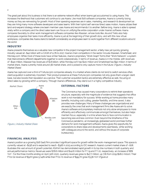The great part about this business is that there is an extreme network effect when teams get accustomed to using Asana. This increases the likelihood that customers will continue to use Asana. Like most B2B software companies, Asana is currently losing money as they are reinvesting for growth. Most of their operating expenses are in sales, marketing, and research & development as they are hiring many more software developers and sales teams. With their hybrid self-service/direct sales motion, Asana utilizes their land-and-expand strategy where one team member uses Asana and recommends it to another. Before long, Asana is able to spread virally within a company and the direct sales team can focus on unifying the entire corporation under Asana's software. Asana compares favorably to other work management software companies like Atlassian, whose tools like Jira and Trello also help employees organize their tasks more efficiently. Asana is just at the beginning of their growth story, and with this new virtual workplace, companies like Asana stand to benefit considerably as employees learn to work together from different locations around the world.

### **INDUSTRY**

Asana presents themselves as a valuable new competitor in the project management sector, a fairly new yet quickly growing industry valued at ~\$4.2 billion with a CAGR of 11.7% to 2027. Asana's main competitors in the sector include Atlassian, Smartsheet, and Monday.com. While most of these tools have similar features, Asana's proprietary "Work Graph" forms their "Work Network", a system that interconnects different departments together to work collaboratively. In terms of revenue, Asana is in the middle, with revenues of ~\$140 million. Atlassian has revenues of \$1.6 billion, while Monday.com has \$120 million and Smartsheet has \$90 million. In terms of market share, Asana currently holds around 3% market share, and is poised to only capture more in the future. (Figure 1, Industry Market Share).

Asana has captured over a third of Fortune 500 companies already. In a market where clients do not tend to switch services often, client acquisition is extremely important. Their product presence at these Fortune 500 companies not only gives them a larger client base, but also boosts their reputation as a service. Their customer acquisition tactics are extremely effective as well, focusing on direct sales by growing within a company. Through Asana's differences, they stand out in a highly competitive industry.



**EXTERNAL FACTORS**

The Coronavirus has caused many corporations to rethink their operations structure, especially with the magnitude of evidence that suggests that office work is not mandatory for success. While working at home provides many benefits, including cost cutting, greater flexibility, and time saved, it also provides new challenges. Many of these challenges are organizational and are exactly the ones that work management firms like Asana aim to solve. Asana's software and proprietary methods not only allow employees to more efficiently and effectively communicate amongst themselves, but also helps maintain focus, especially in a time where face to face communication is becoming less and less common. Even beyond the timeframe of the Coronavirus pandemic, an increasingly globalized world promises further demand for work management software. Asana gives the opportunity for corporations to share ideas and developments seamlessly, while working with colleagues around the world, and without the issues of corporate bureaucracy.

### **FINANCIAL ANALYSIS**

Asana's position as a growing B2B SaaS firm provides it significant space for growth within the work-management space. This space is currently valued at ~\$23B and is expected to reach ~\$32B in 2023 according to IDC research. Asana's current market share of ~.62% illustrates this vast amount of growth potential. ASANA has demonstrated rapid growth in its top line numbers in both quarterly and annual performance metrics. Revenues were \$76.8 million and \$142.6 million for FY 19 and FY 20, respectively, an increase of 86% YoY. For the three months ending on April 30th 2020, quarterly revenues grew to \$47.7 million, up 71% from 2019 (\$28.0 million). Their FY21 Q2 revenue of \$52M grew 57.42% while their FY21 H1 revenue of \$99.7M grew 63.3% YoY (Figure 2).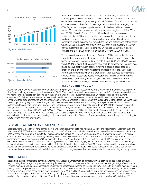

GAAP Revenue in millions, F/Y end January

Figure 2, GAAP Revenue



While these are significant levels of top line growth, they do illustrate a slowing growth rate when compared to the previous year. These rates and the expected FY21 revenue growth of 50.76% all fall short of the FY20 YoY. As the company noted in their FY21 Q2 earnings call, this slowdown is largely due to COVID19 economic impacts particularly within the hospitality and travel sectors. This can also be seen in their drop in gross margin from 82% in FY19 and 86.1% in FY20 to 65.4% in FY21 H1. Operating losses have grown significantly by 111.5% which is largely due to a correlated doubling in sales and marketing expenses to increase their market penetration. This depicts the company's growth expectations for both the top and bottom end of their sales funnel. Since 2015 Asana has grown from less than 2,000 customers to over 82,000 customers as of September 2020. Of Asana's 82,000 paying users, 7,933 spend over \$5,000 per year and 283 pay over \$50,000 per year.

These two pricing segments grew by 65% and 160% respectively. Not only are these high-income segments growing rapidly, they both have positive dollar based net retention rates of 125% for greater than \$5,000 and 140% for greater than \$50,000 (*Figure 3)*. The company's overall dollar based net retention rate is also positive at 115%. Each segment having a positive dollar based net retention rate is an important indicator to illustrate the net growth of their current consumer base which is a large part of their business development strategy. When customers decide to incorporate Asana into their business, they tend to not only stay with Asana, but in fact use them even more. This allows them to expand not just to new users, but also grow from within.

#### **REVENUE BREAKDOWN**

Asana has experienced substantial revenue growth in the past year. Its 2019 fiscal year revenue was \$76.8mm and in 2020 it grew to \$142.6mm, yielding an overall growth in revenue of 86%. This overall increase in revenue was due to a shift in Asana's sales mix toward the higher priced subscription options, as well as an expansion of total customer base, and an increase in sales from current customers. To further increase revenue, Asana will need to expand its customer base and expand its service plans, as well as enhancing their product features and offerings. 41% of revenue generated in 2020 came from outside the United States, indicating that there is opportunity to grow domestically. A majority of Asana's revenue comes from selling subscriptions to their cloud-based platform in different tiers: Premium, Business, and Enterprise. Revenue from subscriptions made up 42% of total revenue during Q1 2020, whereas it only represented 11% of total revenue in Q1 2019. Asana has also experienced an increase in larger subscription package purchases of over \$5,000, with 54% of Q1 2020 as compared to 43% in Q1 2019. CapitalIQ currently lists Asana as being toprated with regard to revenue when compared to comparable companies' revenue. As Asana generates most of its revenue from expanding its customer base, their growing customer retention rates of 110% and 120% in 2019 and 2020 respectively are promising for future revenue growth projections.

## **INCOME STATEMENT AND BALANCE SHEET HEALTH**

Because Asana is a relatively new company, it is understandable that it still has negative EBITDA and Net Income. Between 2019 and 2020, Asana's EBITDA has decreased from -\$49.1mm to -\$118.1mm, and its Net Income has decreased from -\$50.9mm to -\$118.6mm. Both of these can be due to a substantial increase in SG&A as well as R&D, which is no surprise for a growing company like Asana. Currently, Asana is rated below average with regard to its overall credit health score. Their Return on Invested Capital (ROIC) is -27.16% compared to its peers averaging 5.31%. Additionally, their Total Asset Turnover (TAT) is relatively low at 0.27 compared to its peers at 0.84, along with their Interest Coverage ratio at -4.36 compared to its peers at 33.43. However, Asana's overall gross margin of 86.56% is top-rated compared to its peers, along with its Total Debt/Total Liabilities ratio of 80.93%. Overall, with regard to its solvency ratios, Asana has lots of room for improvement, however it is above average with regard to its liquidity. Despite Asana being somewhat subprime, their above average debt to liability ratios and gross margins prove that they are not at risk of experiencing solvency issues.

### **PRICE TARGET**

Based on a public comparable company analysis with Atlassian, Smartsheet, and PagerDuty we derived a price range of \$28.91- \$29.32. Using the average comparable company P/Sales ratio of 21.2x, we were able to arrive at our price target range. We utilized a P/Sales multiple because SaaS companies usually have negative net income as well as EBITDA. Thus, with a P/Sales multiple, we are valuing these companies based on top-line growth which is important because companies like Asana invest heavily into S&M or R&D to grow revenues. Given Asana's rapid revenue growth from 2019 and 2020 along with its future growth projections, we are optimistic that Asana's stock price will rise to between \$28.91 and \$29.32 by the end of the fiscal year. Our 3 companies had an average P/Sales multiple of 21.2x and a median multiple of 20.3x. We then derived this range by using revenue projections from CapitalIQ for FY21.